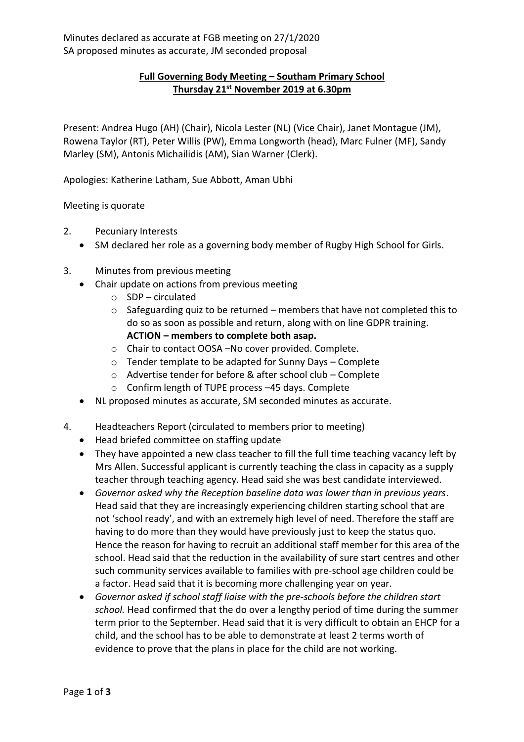## **Full Governing Body Meeting – Southam Primary School Thursday 21st November 2019 at 6.30pm**

Present: Andrea Hugo (AH) (Chair), Nicola Lester (NL) (Vice Chair), Janet Montague (JM), Rowena Taylor (RT), Peter Willis (PW), Emma Longworth (head), Marc Fulner (MF), Sandy Marley (SM), Antonis Michailidis (AM), Sian Warner (Clerk).

Apologies: Katherine Latham, Sue Abbott, Aman Ubhi

## Meeting is quorate

- 2. Pecuniary Interests
	- SM declared her role as a governing body member of Rugby High School for Girls.
- 3. Minutes from previous meeting
	- Chair update on actions from previous meeting
		- o SDP circulated
		- $\circ$  Safeguarding quiz to be returned members that have not completed this to do so as soon as possible and return, along with on line GDPR training. **ACTION – members to complete both asap.**
		- o Chair to contact OOSA –No cover provided. Complete.
		- o Tender template to be adapted for Sunny Days Complete
		- o Advertise tender for before & after school club Complete
		- o Confirm length of TUPE process –45 days. Complete
	- NL proposed minutes as accurate, SM seconded minutes as accurate.
- 4. Headteachers Report (circulated to members prior to meeting)
	- Head briefed committee on staffing update
	- They have appointed a new class teacher to fill the full time teaching vacancy left by Mrs Allen. Successful applicant is currently teaching the class in capacity as a supply teacher through teaching agency. Head said she was best candidate interviewed.
	- *Governor asked why the Reception baseline data was lower than in previous years*. Head said that they are increasingly experiencing children starting school that are not 'school ready', and with an extremely high level of need. Therefore the staff are having to do more than they would have previously just to keep the status quo. Hence the reason for having to recruit an additional staff member for this area of the school. Head said that the reduction in the availability of sure start centres and other such community services available to families with pre-school age children could be a factor. Head said that it is becoming more challenging year on year.
	- *Governor asked if school staff liaise with the pre-schools before the children start school.* Head confirmed that the do over a lengthy period of time during the summer term prior to the September. Head said that it is very difficult to obtain an EHCP for a child, and the school has to be able to demonstrate at least 2 terms worth of evidence to prove that the plans in place for the child are not working.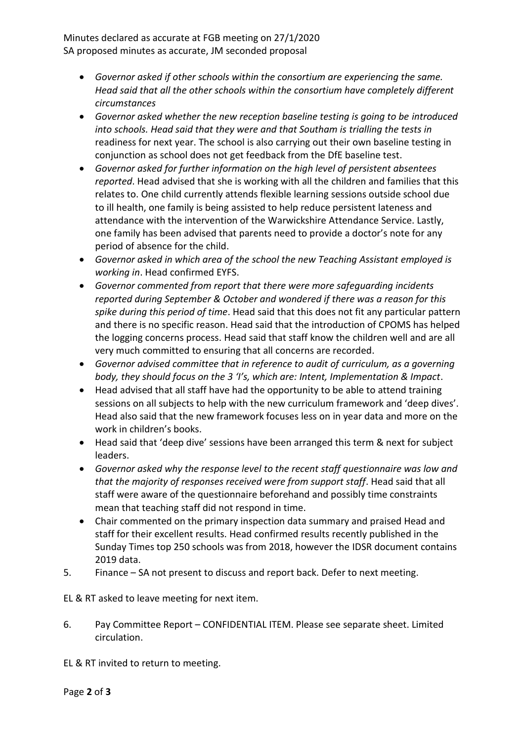Minutes declared as accurate at FGB meeting on 27/1/2020 SA proposed minutes as accurate, JM seconded proposal

- *Governor asked if other schools within the consortium are experiencing the same. Head said that all the other schools within the consortium have completely different circumstances*
- *Governor asked whether the new reception baseline testing is going to be introduced into schools. Head said that they were and that Southam is trialling the tests in* readiness for next year. The school is also carrying out their own baseline testing in conjunction as school does not get feedback from the DfE baseline test.
- *Governor asked for further information on the high level of persistent absentees reported*. Head advised that she is working with all the children and families that this relates to. One child currently attends flexible learning sessions outside school due to ill health, one family is being assisted to help reduce persistent lateness and attendance with the intervention of the Warwickshire Attendance Service. Lastly, one family has been advised that parents need to provide a doctor's note for any period of absence for the child.
- *Governor asked in which area of the school the new Teaching Assistant employed is working in*. Head confirmed EYFS.
- *Governor commented from report that there were more safeguarding incidents reported during September & October and wondered if there was a reason for this spike during this period of time*. Head said that this does not fit any particular pattern and there is no specific reason. Head said that the introduction of CPOMS has helped the logging concerns process. Head said that staff know the children well and are all very much committed to ensuring that all concerns are recorded.
- *Governor advised committee that in reference to audit of curriculum, as a governing body, they should focus on the 3 'I's, which are: Intent, Implementation & Impact*.
- Head advised that all staff have had the opportunity to be able to attend training sessions on all subjects to help with the new curriculum framework and 'deep dives'. Head also said that the new framework focuses less on in year data and more on the work in children's books.
- Head said that 'deep dive' sessions have been arranged this term & next for subject leaders.
- *Governor asked why the response level to the recent staff questionnaire was low and that the majority of responses received were from support staff*. Head said that all staff were aware of the questionnaire beforehand and possibly time constraints mean that teaching staff did not respond in time.
- Chair commented on the primary inspection data summary and praised Head and staff for their excellent results. Head confirmed results recently published in the Sunday Times top 250 schools was from 2018, however the IDSR document contains 2019 data.
- 5. Finance SA not present to discuss and report back. Defer to next meeting.

EL & RT asked to leave meeting for next item.

6. Pay Committee Report – CONFIDENTIAL ITEM. Please see separate sheet. Limited circulation.

EL & RT invited to return to meeting.